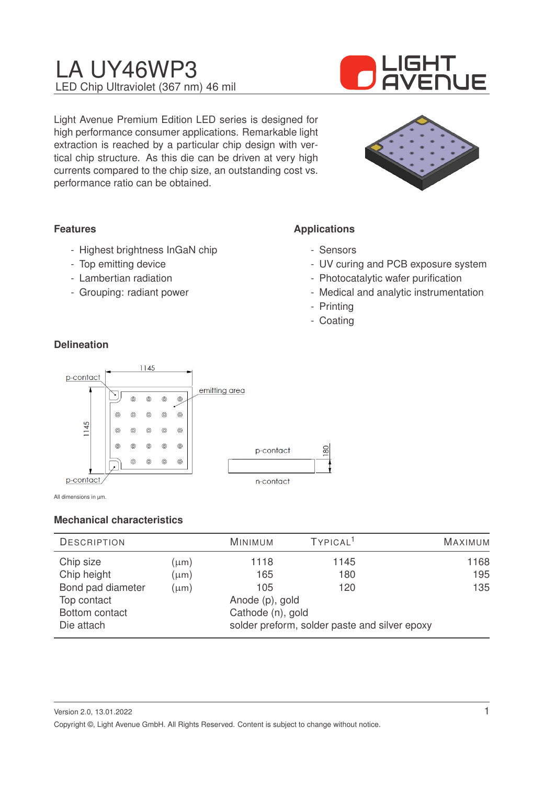

Light Avenue Premium Edition LED series is designed for high performance consumer applications. Remarkable light extraction is reached by a particular chip design with vertical chip structure. As this die can be driven at very high currents compared to the chip size, an outstanding cost vs. performance ratio can be obtained.



### **Features**

- Highest brightness InGaN chip
- Top emitting device
- Lambertian radiation
- Grouping: radiant power

### **Applications**

- Sensors
- UV curing and PCB exposure system
- Photocatalytic wafer purification
- Medical and analytic instrumentation
- Printing
- Coating

### **Delineation**



All dimensions in µm.

### **Mechanical characteristics**

| <b>DESCRIPTION</b> |           | <b>MINIMUM</b>                                | TYPICAL <sup>1</sup> | MAXIMUM |
|--------------------|-----------|-----------------------------------------------|----------------------|---------|
| Chip size          | $(\mu m)$ | 1118                                          | 1145                 | 1168    |
| Chip height        | $(\mu m)$ | 165                                           | 180                  | 195     |
| Bond pad diameter  | $(\mu m)$ | 105                                           | 120                  | 135     |
| Top contact        |           | Anode (p), gold                               |                      |         |
| Bottom contact     |           | Cathode (n), gold                             |                      |         |
| Die attach         |           | solder preform, solder paste and silver epoxy |                      |         |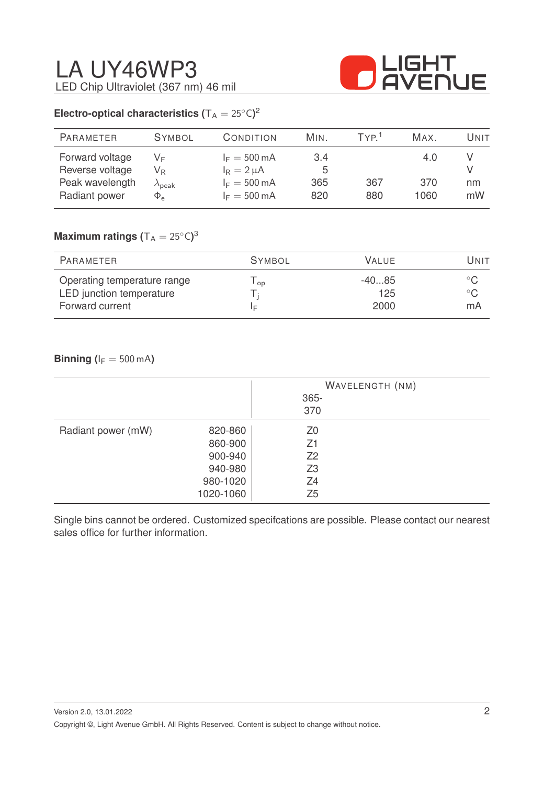

### **Electro-optical characteristics (** $T_A = 25^{\circ}C$ )<sup>2</sup>

| <b>PARAMETER</b>                                                       | <b>SYMBOL</b>                                                           | CONDITION                                                                                     | MIN.                   | TYP <sup>1</sup> | MAX.               | Unit     |
|------------------------------------------------------------------------|-------------------------------------------------------------------------|-----------------------------------------------------------------------------------------------|------------------------|------------------|--------------------|----------|
| Forward voltage<br>Reverse voltage<br>Peak wavelength<br>Radiant power | VF<br>$\mathsf{V}_\mathsf{R}$<br>$\lambda_{\sf peak}$<br>$\Phi_{\rm e}$ | $I_F = 500 \text{ mA}$<br>$I_R = 2 \mu A$<br>$I_F = 500 \text{ mA}$<br>$I_F = 500 \text{ mA}$ | 3.4<br>5<br>365<br>820 | 367<br>880       | 4.0<br>370<br>1060 | nm<br>mW |
|                                                                        |                                                                         |                                                                                               |                        |                  |                    |          |

### $\mathsf{Maximum}$  ratings  $(\mathsf{T_A} = 25^\circ\mathsf{C})^3$

| <b>SYMBOL</b><br>VALUE.<br>PARAMETER                                                                            | Unit               |
|-----------------------------------------------------------------------------------------------------------------|--------------------|
|                                                                                                                 |                    |
| Operating temperature range<br>$-4085$<br>OD<br>LED junction temperature<br>125<br>Forward current<br>2000<br>E | $^{\circ}$ C<br>mA |

### **Binning (** $I_F = 500 \text{ mA}$ )

|                    |                                                                   | WAVELENGTH (NM)<br>$365 -$<br>370                                    |
|--------------------|-------------------------------------------------------------------|----------------------------------------------------------------------|
| Radiant power (mW) | 820-860<br>860-900<br>900-940<br>940-980<br>980-1020<br>1020-1060 | Z <sub>0</sub><br>Z1<br>Z <sub>2</sub><br>Z3<br>Z4<br>Z <sub>5</sub> |

Single bins cannot be ordered. Customized specifcations are possible. Please contact our nearest sales office for further information.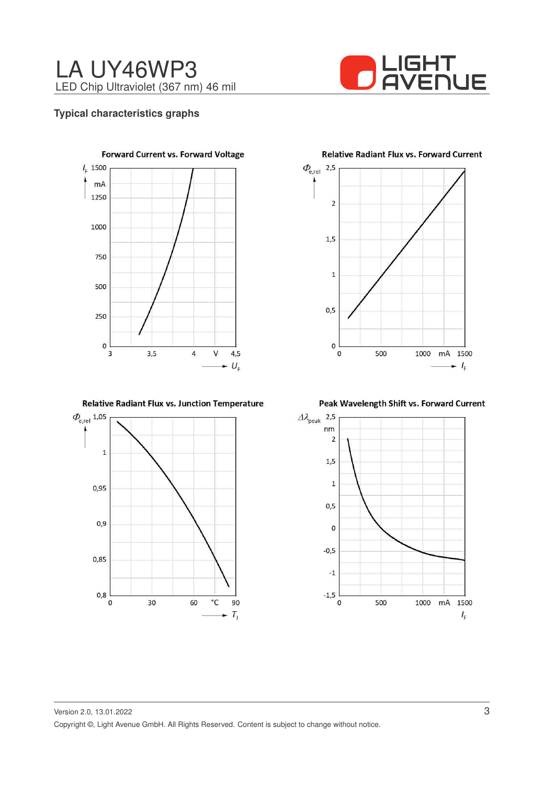

### **Typical characteristics graphs**



Relative Radiant Flux vs. Junction Temperature



**Relative Radiant Flux vs. Forward Current** 



Peak Wavelength Shift vs. Forward Current

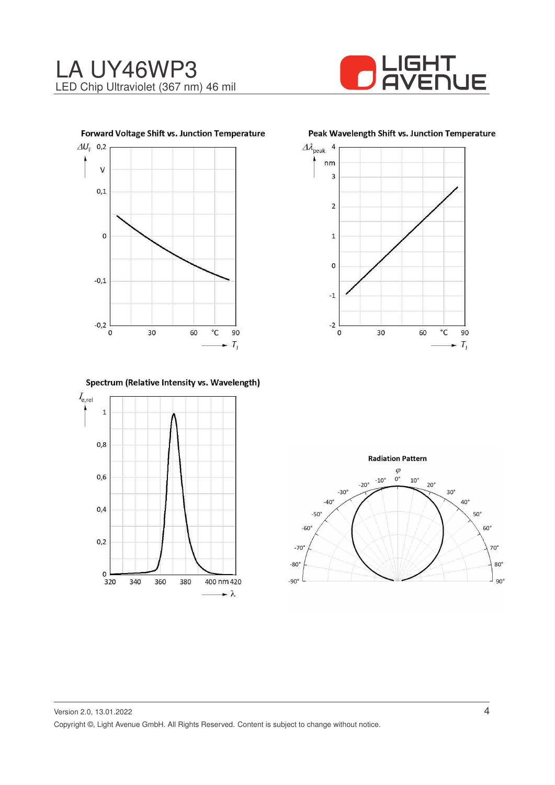







Spectrum (Relative Intensity vs. Wavelength)



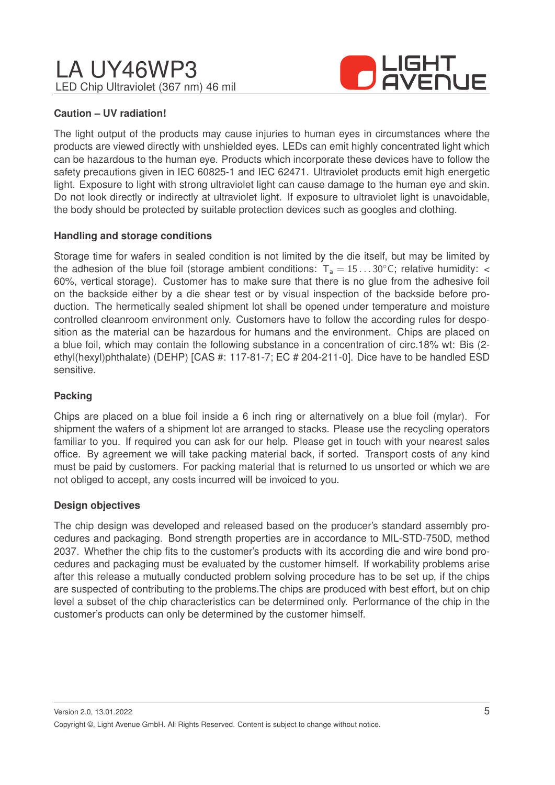

### **Caution – UV radiation!**

The light output of the products may cause injuries to human eyes in circumstances where the products are viewed directly with unshielded eyes. LEDs can emit highly concentrated light which can be hazardous to the human eye. Products which incorporate these devices have to follow the safety precautions given in IEC 60825-1 and IEC 62471. Ultraviolet products emit high energetic light. Exposure to light with strong ultraviolet light can cause damage to the human eye and skin. Do not look directly or indirectly at ultraviolet light. If exposure to ultraviolet light is unavoidable, the body should be protected by suitable protection devices such as googles and clothing.

### **Handling and storage conditions**

Storage time for wafers in sealed condition is not limited by the die itself, but may be limited by the adhesion of the blue foil (storage ambient conditions:  $T_a = 15...30^{\circ}$ C; relative humidity: < 60%, vertical storage). Customer has to make sure that there is no glue from the adhesive foil on the backside either by a die shear test or by visual inspection of the backside before production. The hermetically sealed shipment lot shall be opened under temperature and moisture controlled cleanroom environment only. Customers have to follow the according rules for desposition as the material can be hazardous for humans and the environment. Chips are placed on a blue foil, which may contain the following substance in a concentration of circ.18% wt: Bis (2 ethyl(hexyl)phthalate) (DEHP) [CAS #: 117-81-7; EC # 204-211-0]. Dice have to be handled ESD sensitive.

### **Packing**

Chips are placed on a blue foil inside a 6 inch ring or alternatively on a blue foil (mylar). For shipment the wafers of a shipment lot are arranged to stacks. Please use the recycling operators familiar to you. If required you can ask for our help. Please get in touch with your nearest sales office. By agreement we will take packing material back, if sorted. Transport costs of any kind must be paid by customers. For packing material that is returned to us unsorted or which we are not obliged to accept, any costs incurred will be invoiced to you.

### **Design objectives**

The chip design was developed and released based on the producer's standard assembly procedures and packaging. Bond strength properties are in accordance to MIL-STD-750D, method 2037. Whether the chip fits to the customer's products with its according die and wire bond procedures and packaging must be evaluated by the customer himself. If workability problems arise after this release a mutually conducted problem solving procedure has to be set up, if the chips are suspected of contributing to the problems.The chips are produced with best effort, but on chip level a subset of the chip characteristics can be determined only. Performance of the chip in the customer's products can only be determined by the customer himself.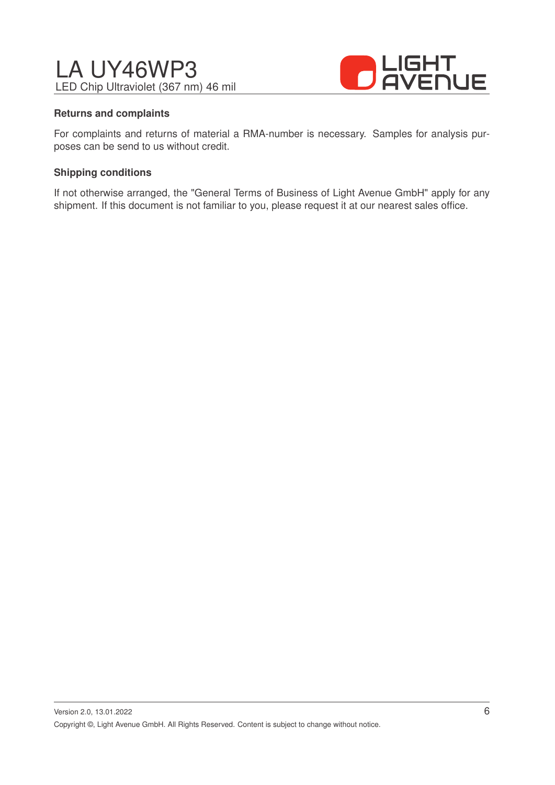

### **Returns and complaints**

For complaints and returns of material a RMA-number is necessary. Samples for analysis purposes can be send to us without credit.

### **Shipping conditions**

If not otherwise arranged, the "General Terms of Business of Light Avenue GmbH" apply for any shipment. If this document is not familiar to you, please request it at our nearest sales office.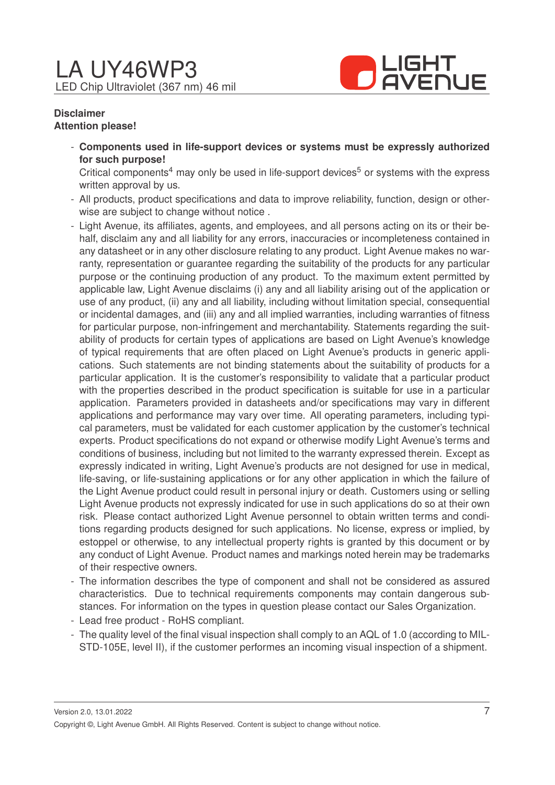

### **Disclaimer Attention please!**

- **Components used in life-support devices or systems must be expressly authorized for such purpose!**

Critical components<sup>4</sup> may only be used in life-support devices<sup>5</sup> or systems with the express written approval by us.

- All products, product specifications and data to improve reliability, function, design or otherwise are subject to change without notice .
- Light Avenue, its affiliates, agents, and employees, and all persons acting on its or their behalf, disclaim any and all liability for any errors, inaccuracies or incompleteness contained in any datasheet or in any other disclosure relating to any product. Light Avenue makes no warranty, representation or guarantee regarding the suitability of the products for any particular purpose or the continuing production of any product. To the maximum extent permitted by applicable law, Light Avenue disclaims (i) any and all liability arising out of the application or use of any product, (ii) any and all liability, including without limitation special, consequential or incidental damages, and (iii) any and all implied warranties, including warranties of fitness for particular purpose, non-infringement and merchantability. Statements regarding the suitability of products for certain types of applications are based on Light Avenue's knowledge of typical requirements that are often placed on Light Avenue's products in generic applications. Such statements are not binding statements about the suitability of products for a particular application. It is the customer's responsibility to validate that a particular product with the properties described in the product specification is suitable for use in a particular application. Parameters provided in datasheets and/or specifications may vary in different applications and performance may vary over time. All operating parameters, including typical parameters, must be validated for each customer application by the customer's technical experts. Product specifications do not expand or otherwise modify Light Avenue's terms and conditions of business, including but not limited to the warranty expressed therein. Except as expressly indicated in writing, Light Avenue's products are not designed for use in medical, life-saving, or life-sustaining applications or for any other application in which the failure of the Light Avenue product could result in personal injury or death. Customers using or selling Light Avenue products not expressly indicated for use in such applications do so at their own risk. Please contact authorized Light Avenue personnel to obtain written terms and conditions regarding products designed for such applications. No license, express or implied, by estoppel or otherwise, to any intellectual property rights is granted by this document or by any conduct of Light Avenue. Product names and markings noted herein may be trademarks of their respective owners.
- The information describes the type of component and shall not be considered as assured characteristics. Due to technical requirements components may contain dangerous substances. For information on the types in question please contact our Sales Organization.
- Lead free product RoHS compliant.
- The quality level of the final visual inspection shall comply to an AQL of 1.0 (according to MIL-STD-105E, level II), if the customer performes an incoming visual inspection of a shipment.